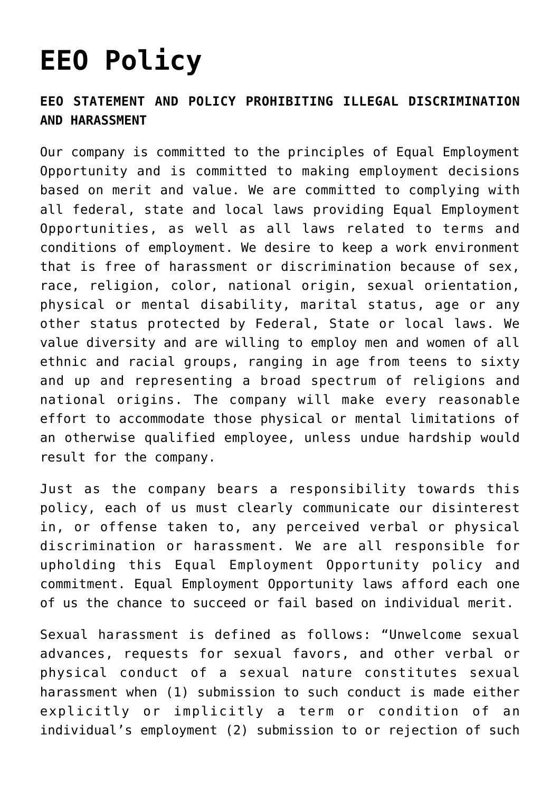## **[EEO Policy](https://www.moonrakerrestaurant.com/eeo-policy-2/)**

## **EEO STATEMENT AND POLICY PROHIBITING ILLEGAL DISCRIMINATION AND HARASSMENT**

Our company is committed to the principles of Equal Employment Opportunity and is committed to making employment decisions based on merit and value. We are committed to complying with all federal, state and local laws providing Equal Employment Opportunities, as well as all laws related to terms and conditions of employment. We desire to keep a work environment that is free of harassment or discrimination because of sex, race, religion, color, national origin, sexual orientation, physical or mental disability, marital status, age or any other status protected by Federal, State or local laws. We value diversity and are willing to employ men and women of all ethnic and racial groups, ranging in age from teens to sixty and up and representing a broad spectrum of religions and national origins. The company will make every reasonable effort to accommodate those physical or mental limitations of an otherwise qualified employee, unless undue hardship would result for the company.

Just as the company bears a responsibility towards this policy, each of us must clearly communicate our disinterest in, or offense taken to, any perceived verbal or physical discrimination or harassment. We are all responsible for upholding this Equal Employment Opportunity policy and commitment. Equal Employment Opportunity laws afford each one of us the chance to succeed or fail based on individual merit.

Sexual harassment is defined as follows: "Unwelcome sexual advances, requests for sexual favors, and other verbal or physical conduct of a sexual nature constitutes sexual harassment when (1) submission to such conduct is made either explicitly or implicitly a term or condition of an individual's employment (2) submission to or rejection of such